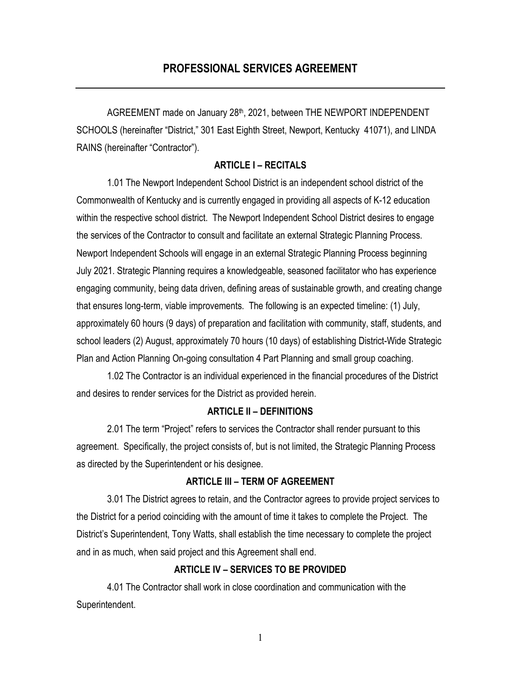AGREEMENT made on January 28th, 2021, between THE NEWPORT INDEPENDENT SCHOOLS (hereinafter "District," 301 East Eighth Street, Newport, Kentucky 41071), and LINDA RAINS (hereinafter "Contractor").

# **ARTICLE I – RECITALS**

1.01 The Newport Independent School District is an independent school district of the Commonwealth of Kentucky and is currently engaged in providing all aspects of K-12 education within the respective school district. The Newport Independent School District desires to engage the services of the Contractor to consult and facilitate an external Strategic Planning Process. Newport Independent Schools will engage in an external Strategic Planning Process beginning July 2021. Strategic Planning requires a knowledgeable, seasoned facilitator who has experience engaging community, being data driven, defining areas of sustainable growth, and creating change that ensures long-term, viable improvements. The following is an expected timeline: (1) July, approximately 60 hours (9 days) of preparation and facilitation with community, staff, students, and school leaders (2) August, approximately 70 hours (10 days) of establishing District-Wide Strategic Plan and Action Planning On-going consultation 4 Part Planning and small group coaching.

1.02 The Contractor is an individual experienced in the financial procedures of the District and desires to render services for the District as provided herein.

# **ARTICLE II – DEFINITIONS**

2.01 The term "Project" refers to services the Contractor shall render pursuant to this agreement. Specifically, the project consists of, but is not limited, the Strategic Planning Process as directed by the Superintendent or his designee.

### **ARTICLE III – TERM OF AGREEMENT**

3.01 The District agrees to retain, and the Contractor agrees to provide project services to the District for a period coinciding with the amount of time it takes to complete the Project. The District's Superintendent, Tony Watts, shall establish the time necessary to complete the project and in as much, when said project and this Agreement shall end.

## **ARTICLE IV – SERVICES TO BE PROVIDED**

4.01 The Contractor shall work in close coordination and communication with the Superintendent.

1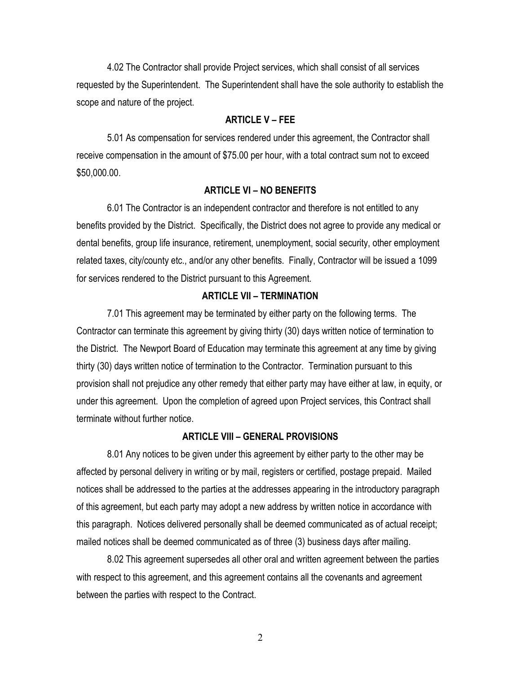4.02 The Contractor shall provide Project services, which shall consist of all services requested by the Superintendent. The Superintendent shall have the sole authority to establish the scope and nature of the project.

#### **ARTICLE V – FEE**

5.01 As compensation for services rendered under this agreement, the Contractor shall receive compensation in the amount of \$75.00 per hour, with a total contract sum not to exceed \$50,000.00.

#### **ARTICLE VI – NO BENEFITS**

6.01 The Contractor is an independent contractor and therefore is not entitled to any benefits provided by the District. Specifically, the District does not agree to provide any medical or dental benefits, group life insurance, retirement, unemployment, social security, other employment related taxes, city/county etc., and/or any other benefits. Finally, Contractor will be issued a 1099 for services rendered to the District pursuant to this Agreement.

#### **ARTICLE VII – TERMINATION**

7.01 This agreement may be terminated by either party on the following terms. The Contractor can terminate this agreement by giving thirty (30) days written notice of termination to the District. The Newport Board of Education may terminate this agreement at any time by giving thirty (30) days written notice of termination to the Contractor. Termination pursuant to this provision shall not prejudice any other remedy that either party may have either at law, in equity, or under this agreement. Upon the completion of agreed upon Project services, this Contract shall terminate without further notice.

#### **ARTICLE VIII – GENERAL PROVISIONS**

8.01 Any notices to be given under this agreement by either party to the other may be affected by personal delivery in writing or by mail, registers or certified, postage prepaid. Mailed notices shall be addressed to the parties at the addresses appearing in the introductory paragraph of this agreement, but each party may adopt a new address by written notice in accordance with this paragraph. Notices delivered personally shall be deemed communicated as of actual receipt; mailed notices shall be deemed communicated as of three (3) business days after mailing.

8.02 This agreement supersedes all other oral and written agreement between the parties with respect to this agreement, and this agreement contains all the covenants and agreement between the parties with respect to the Contract.

2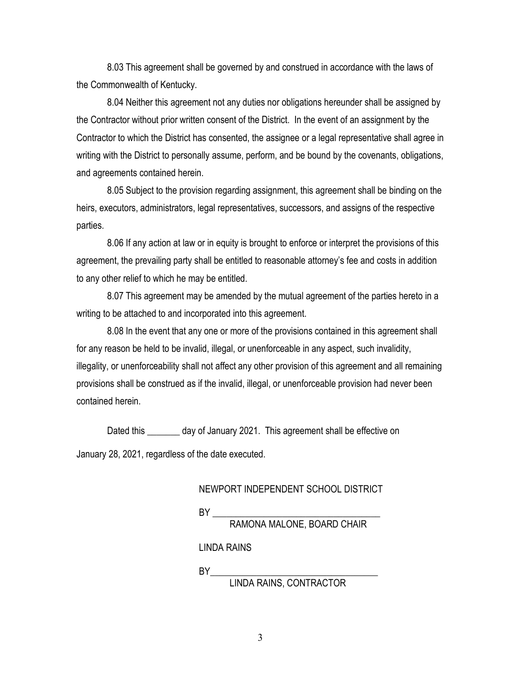8.03 This agreement shall be governed by and construed in accordance with the laws of the Commonwealth of Kentucky.

8.04 Neither this agreement not any duties nor obligations hereunder shall be assigned by the Contractor without prior written consent of the District. In the event of an assignment by the Contractor to which the District has consented, the assignee or a legal representative shall agree in writing with the District to personally assume, perform, and be bound by the covenants, obligations, and agreements contained herein.

8.05 Subject to the provision regarding assignment, this agreement shall be binding on the heirs, executors, administrators, legal representatives, successors, and assigns of the respective parties.

8.06 If any action at law or in equity is brought to enforce or interpret the provisions of this agreement, the prevailing party shall be entitled to reasonable attorney's fee and costs in addition to any other relief to which he may be entitled.

8.07 This agreement may be amended by the mutual agreement of the parties hereto in a writing to be attached to and incorporated into this agreement.

8.08 In the event that any one or more of the provisions contained in this agreement shall for any reason be held to be invalid, illegal, or unenforceable in any aspect, such invalidity, illegality, or unenforceability shall not affect any other provision of this agreement and all remaining provisions shall be construed as if the invalid, illegal, or unenforceable provision had never been contained herein.

Dated this day of January 2021. This agreement shall be effective on January 28, 2021, regardless of the date executed.

## NEWPORT INDEPENDENT SCHOOL DISTRICT

 $BY_{\_}$ 

RAMONA MALONE, BOARD CHAIR

LINDA RAINS

BY\_\_\_\_\_\_\_\_\_\_\_\_\_\_\_\_\_\_\_\_\_\_\_\_\_\_\_\_\_\_\_\_\_\_\_\_

LINDA RAINS, CONTRACTOR